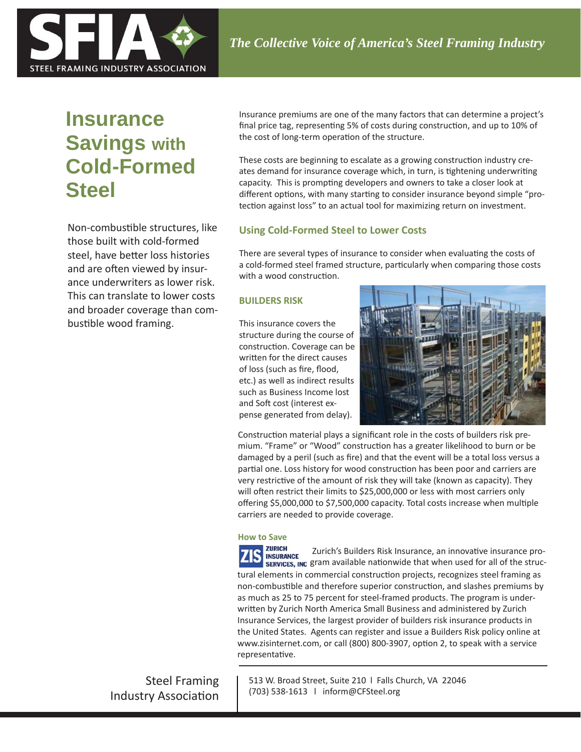

# **Insurance Savings with Cold-Formed Steel**

Non-combustible structures, like those built with cold-formed steel, have better loss histories and are often viewed by insurance underwriters as lower risk. This can translate to lower costs and broader coverage than combustible wood framing.

Insurance premiums are one of the many factors that can determine a project's final price tag, representing 5% of costs during construction, and up to 10% of the cost of long-term operation of the structure.

These costs are beginning to escalate as a growing construction industry creates demand for insurance coverage which, in turn, is tightening underwriting capacity. This is prompting developers and owners to take a closer look at different options, with many starting to consider insurance beyond simple "protection against loss" to an actual tool for maximizing return on investment.

# **Using Cold-Formed Steel to Lower Costs**

There are several types of insurance to consider when evaluating the costs of a cold-formed steel framed structure, particularly when comparing those costs with a wood construction.

# **BUILDERS RISK**

This insurance covers the structure during the course of construction. Coverage can be written for the direct causes of loss (such as fire, flood, etc.) as well as indirect results such as Business Income lost and Soft cost (interest expense generated from delay).



Construction material plays a significant role in the costs of builders risk premium. "Frame" or "Wood" construction has a greater likelihood to burn or be damaged by a peril (such as fire) and that the event will be a total loss versus a partial one. Loss history for wood construction has been poor and carriers are very restrictive of the amount of risk they will take (known as capacity). They will often restrict their limits to \$25,000,000 or less with most carriers only offering \$5,000,000 to \$7,500,000 capacity. Total costs increase when multiple carriers are needed to provide coverage.

# **How to Save**

**ZURICH** Zurich's Builders Risk Insurance, an innovative insurance pro-**INSURANCE** sERVICES, INC gram available nationwide that when used for all of the structural elements in commercial construction projects, recognizes steel framing as non-combustible and therefore superior construction, and slashes premiums by as much as 25 to 75 percent for steel-framed products. The program is underwritten by Zurich North America Small Business and administered by Zurich Insurance Services, the largest provider of builders risk insurance products in the United States. Agents can register and issue a Builders Risk policy online at www.zisinternet.com, or call (800) 800-3907, option 2, to speak with a service representative.

Steel Framing Industry Association 513 W. Broad Street, Suite 210 l Falls Church, VA 22046 (703) 538-1613 l inform@CFSteel.org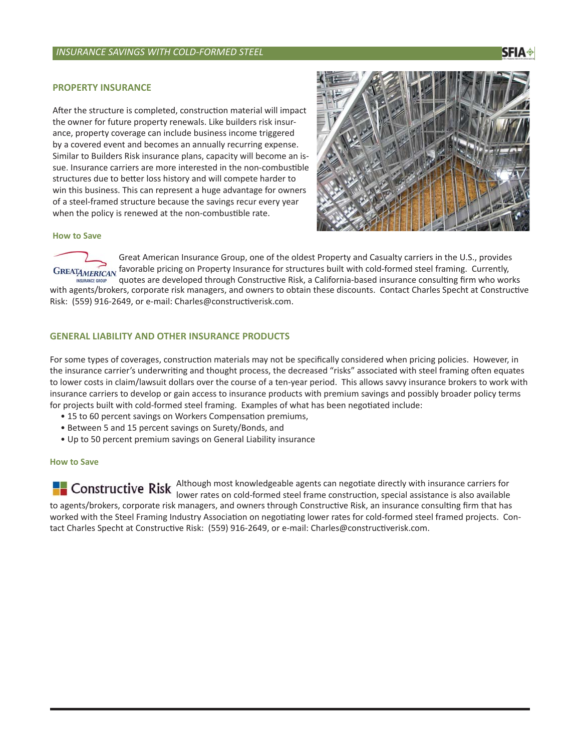#### **PROPERTY INSURANCE**

After the structure is completed, construction material will impact the owner for future property renewals. Like builders risk insurance, property coverage can include business income triggered by a covered event and becomes an annually recurring expense. Similar to Builders Risk insurance plans, capacity will become an issue. Insurance carriers are more interested in the non-combustible structures due to better loss history and will compete harder to win this business. This can represent a huge advantage for owners of a steel-framed structure because the savings recur every year when the policy is renewed at the non-combustible rate.



#### **How to Save**

Great American Insurance Group, one of the oldest Property and Casualty carriers in the U.S., provides GREATAMERICAN, favorable pricing on Property Insurance for structures built with cold-formed steel framing. Currently, quotes are developed through Constructive Risk, a California-based insurance consulting firm who works with agents/brokers, corporate risk managers, and owners to obtain these discounts. Contact Charles Specht at Constructive Risk: (559) 916-2649, or e-mail: Charles@constructiverisk.com.

#### **GENERAL LIABILITY AND OTHER INSURANCE PRODUCTS**

For some types of coverages, construction materials may not be specifically considered when pricing policies. However, in the insurance carrier's underwriting and thought process, the decreased "risks" associated with steel framing often equates to lower costs in claim/lawsuit dollars over the course of a ten-year period. This allows savvy insurance brokers to work with insurance carriers to develop or gain access to insurance products with premium savings and possibly broader policy terms for projects built with cold-formed steel framing. Examples of what has been negotiated include:

- 15 to 60 percent savings on Workers Compensation premiums,
- Between 5 and 15 percent savings on Surety/Bonds, and
- Up to 50 percent premium savings on General Liability insurance

#### **How to Save**

Although most knowledgeable agents can negotiate directly with insurance carriers for lower rates on cold-formed steel frame construction, special assistance is also available to agents/brokers, corporate risk managers, and owners through Constructive Risk, an insurance consulting firm that has worked with the Steel Framing Industry Association on negotiating lower rates for cold-formed steel framed projects. Contact Charles Specht at Constructive Risk: (559) 916-2649, or e-mail: Charles@constructiverisk.com.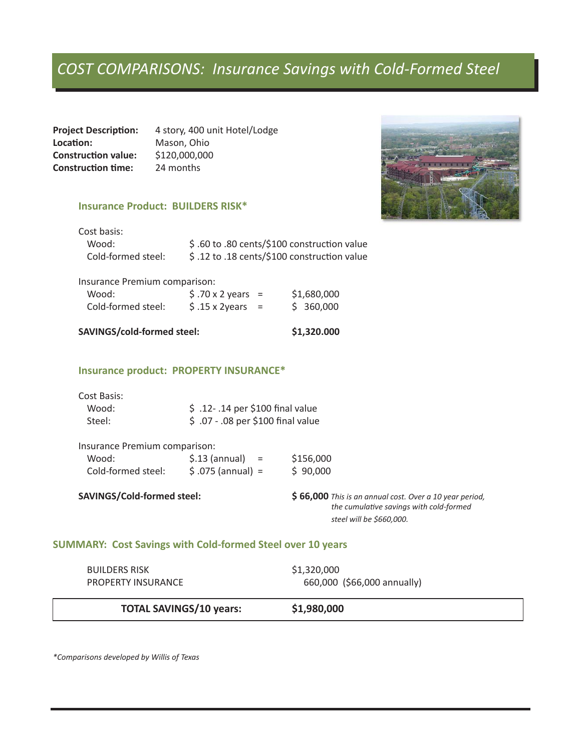# *COST COMPARISONS: Insurance Savings with Cold-Formed Steel*

Project Description: 4 story, 400 unit Hotel/Lodge **LocaƟ on:** Mason, Ohio **Construction value:** \$120,000,000<br>**Construction time:** 24 months **Construction time:** 

## **Insurance Product: BUILDERS RISK\***

| Cost basis: |
|-------------|
|             |

| Wood:              | \$.60 to .80 cents/\$100 construction value |
|--------------------|---------------------------------------------|
| Cold-formed steel: | \$.12 to .18 cents/\$100 construction value |

#### Insurance Premium comparison:

| Wood:              | $$.70 \times 2 \text{ years} =$ | \$1,680,000 |
|--------------------|---------------------------------|-------------|
| Cold-formed steel: | $$.15 \times 2 \text{years}$    | \$360,000   |

# **SAVINGS/cold-formed steel: \$1,320.000**

### **Insurance product: PROPERTY INSURANCE\***

| Cost Basis: |                                    |
|-------------|------------------------------------|
| Wood:       | $$.12-.14$ per \$100 final value   |
| Steel:      | \$ .07 - .08 per \$100 final value |

| Insurance Premium comparison: |                        |           |
|-------------------------------|------------------------|-----------|
| Wood:                         | $$.13$ (annual)<br>$=$ | \$156,000 |
| Cold-formed steel:            | $$.075$ (annual) =     | \$90,000  |

**SAVINGS/Cold-formed steel: \$ 66,000** *This is an annual cost. Over a 10 year period, the cumulative savings with cold-formed steel will be \$660,000.*

### **SUMMARY: Cost Savings with Cold-formed Steel over 10 years**

| <b>PROPERTY INSURANCE</b> |                             |
|---------------------------|-----------------------------|
|                           | 660,000 (\$66,000 annually) |

# **TOTAL SAVINGS/10 years: \$1,980,000**

*\*Comparisons developed by Willis of Texas*